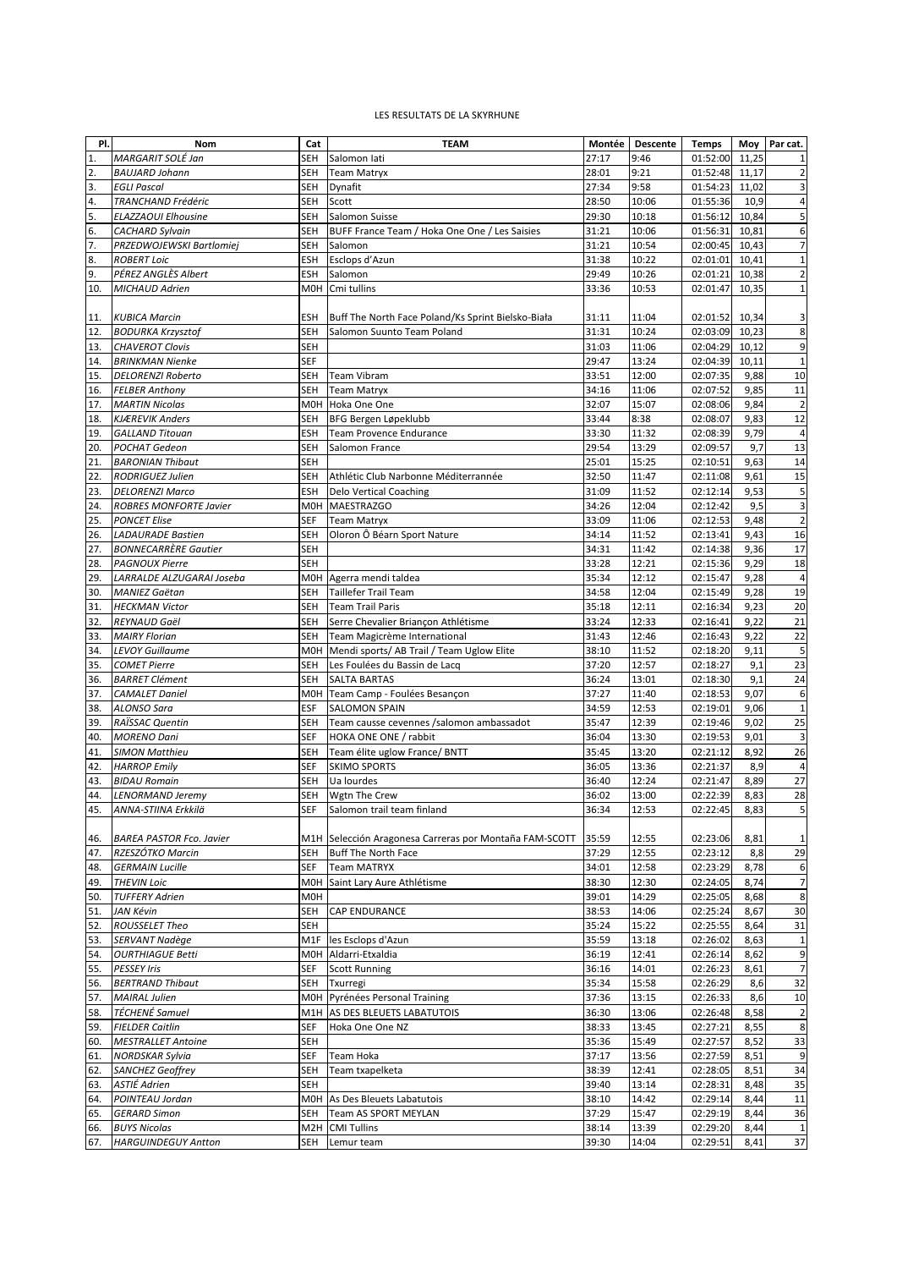## LES RESULTATS DE LA SKYRHUNE

| PI. | Nom                             | Cat        | <b>TEAM</b>                                            | Montée | <b>Descente</b> | <b>Temps</b> | Moy   | Par cat.                 |
|-----|---------------------------------|------------|--------------------------------------------------------|--------|-----------------|--------------|-------|--------------------------|
| 1.  | MARGARIT SOLÉ Jan               | SEH        | Salomon lati                                           | 27:17  | 9:46            | 01:52:00     | 11,25 | $\mathbf{1}$             |
| 2.  | <b>BAUJARD Johann</b>           | SEH        | <b>Team Matryx</b>                                     | 28:01  | 9:21            | 01:52:48     | 11,17 | $\mathbf 2$              |
| 3.  | <b>EGLI Pascal</b>              | SEH        | Dynafit                                                | 27:34  | 9:58            | 01:54:23     | 11,02 | $\overline{\mathbf{3}}$  |
| 4.  | TRANCHAND Frédéric              | SEH        | Scott                                                  | 28:50  | 10:06           | 01:55:36     | 10,9  | 4                        |
| 5.  | ELAZZAOUI Elhousine             | SEH        | Salomon Suisse                                         | 29:30  | 10:18           | 01:56:12     | 10,84 | 5                        |
| 6.  | <b>CACHARD Sylvain</b>          | SEH        | BUFF France Team / Hoka One One / Les Saisies          | 31:21  | 10:06           | 01:56:31     | 10,81 | 6                        |
| 7.  | PRZEDWOJEWSKI Bartlomiej        | SEH        | Salomon                                                | 31:21  | 10:54           | 02:00:45     | 10,43 | $\overline{\phantom{a}}$ |
|     |                                 |            |                                                        |        |                 |              |       |                          |
| 8.  | <b>ROBERT Loic</b>              | ESH        | Esclops d'Azun                                         | 31:38  | 10:22           | 02:01:01     | 10,41 | $\mathbf 1$              |
| 9.  | PÉREZ ANGLÈS Albert             | ESH        | Salomon                                                | 29:49  | 10:26           | 02:01:21     | 10,38 | $\mathbf 2$              |
| 10. | MICHAUD Adrien                  | M0H        | Cmi tullins                                            | 33:36  | 10:53           | 02:01:47     | 10,35 | $\mathbf 1$              |
|     |                                 |            |                                                        |        |                 |              |       |                          |
| 11. | <b>KUBICA Marcin</b>            | ESH        | Buff The North Face Poland/Ks Sprint Bielsko-Biała     | 31:11  | 11:04           | 02:01:52     | 10,34 | 3                        |
| 12. | <b>BODURKA Krzysztof</b>        | SEH        | Salomon Suunto Team Poland                             | 31:31  | 10:24           | 02:03:09     | 10,23 | 8                        |
| 13. | <b>CHAVEROT Clovis</b>          | SEH        |                                                        | 31:03  | 11:06           | 02:04:29     | 10,12 | 9                        |
| 14. | <b>BRINKMAN Nienke</b>          | <b>SEF</b> |                                                        | 29:47  | 13:24           | 02:04:39     | 10,11 | $\mathbf 1$              |
| 15. | <b>DELORENZI Roberto</b>        | SEH        | <b>Team Vibram</b>                                     | 33:51  | 12:00           | 02:07:35     | 9,88  | 10                       |
| 16. | <b>FELBER Anthony</b>           | SEH        | <b>Team Matryx</b>                                     | 34:16  | 11:06           | 02:07:52     | 9,85  | 11                       |
| 17. | <b>MARTIN Nicolas</b>           |            | M0H Hoka One One                                       | 32:07  | 15:07           | 02:08:06     | 9,84  | $\overline{2}$           |
| 18. | <b>KJÆREVIK Anders</b>          | SEH        | BFG Bergen Løpeklubb                                   | 33:44  | 8:38            | 02:08:07     | 9,83  | 12                       |
| 19. | <b>GALLAND Titouan</b>          | ESH        | Team Provence Endurance                                | 33:30  | 11:32           | 02:08:39     | 9,79  | $\overline{4}$           |
| 20. | POCHAT Gedeon                   | SEH        | Salomon France                                         | 29:54  | 13:29           | 02:09:57     | 9,7   | 13                       |
| 21. | <b>BARONIAN Thibaut</b>         | SEH        |                                                        | 25:01  | 15:25           | 02:10:51     | 9,63  | 14                       |
| 22. | RODRIGUEZ Julien                | SEH        | Athlétic Club Narbonne Méditerrannée                   | 32:50  | 11:47           | 02:11:08     | 9,61  | 15                       |
| 23. | <b>DELORENZI Marco</b>          | ESH        | <b>Delo Vertical Coaching</b>                          | 31:09  | 11:52           | 02:12:14     | 9,53  | 5                        |
| 24. | <b>ROBRES MONFORTE Javier</b>   | M0H        | <b>MAESTRAZGO</b>                                      | 34:26  | 12:04           | 02:12:42     | 9,5   | $\overline{\mathbf{3}}$  |
| 25. | <b>PONCET Elise</b>             | SEF        | <b>Team Matryx</b>                                     | 33:09  | 11:06           | 02:12:53     | 9,48  | $\mathbf 2$              |
|     |                                 |            |                                                        |        |                 |              |       | 16                       |
| 26. | <b>LADAURADE Bastien</b>        | SEH        | Oloron Ô Béarn Sport Nature                            | 34:14  | 11:52           | 02:13:41     | 9,43  |                          |
| 27. | <b>BONNECARRÈRE Gautier</b>     | SEH        |                                                        | 34:31  | 11:42           | 02:14:38     | 9,36  | 17                       |
| 28. | <b>PAGNOUX Pierre</b>           | <b>SEH</b> |                                                        | 33:28  | 12:21           | 02:15:36     | 9,29  | 18                       |
| 29. | LARRALDE ALZUGARAI Joseba       | MOH        | Agerra mendi taldea                                    | 35:34  | 12:12           | 02:15:47     | 9,28  | $\overline{4}$           |
| 30. | <b>MANIEZ Gaëtan</b>            | SEH        | <b>Taillefer Trail Team</b>                            | 34:58  | 12:04           | 02:15:49     | 9,28  | 19                       |
| 31. | <b>HECKMAN Victor</b>           | SEH        | <b>Team Trail Paris</b>                                | 35:18  | 12:11           | 02:16:34     | 9,23  | 20                       |
| 32. | REYNAUD Gaël                    | SEH        | Serre Chevalier Briançon Athlétisme                    | 33:24  | 12:33           | 02:16:41     | 9,22  | 21                       |
| 33. | <b>MAIRY Florian</b>            | SEH        | Team Magicrème International                           | 31:43  | 12:46           | 02:16:43     | 9,22  | 22                       |
| 34. | <b>LEVOY Guillaume</b>          | M0H        | Mendi sports/ AB Trail / Team Uglow Elite              | 38:10  | 11:52           | 02:18:20     | 9,11  | 5                        |
| 35. | <b>COMET Pierre</b>             | SEH        | Les Foulées du Bassin de Lacq                          | 37:20  | 12:57           | 02:18:27     | 9,1   | 23                       |
| 36. | <b>BARRET Clément</b>           | SEH        | <b>SALTA BARTAS</b>                                    | 36:24  | 13:01           | 02:18:30     | 9,1   | 24                       |
| 37. | <b>CAMALET Daniel</b>           | M0H        | Team Camp - Foulées Besançon                           | 37:27  | 11:40           | 02:18:53     | 9,07  | 6                        |
| 38. | ALONSO Sara                     | <b>ESF</b> | <b>SALOMON SPAIN</b>                                   | 34:59  | 12:53           | 02:19:01     | 9,06  | $\mathbf 1$              |
| 39. | RAÏSSAC Quentin                 | SEH        | Team causse cevennes /salomon ambassadot               | 35:47  | 12:39           | 02:19:46     | 9,02  | 25                       |
| 40. | <b>MORENO Dani</b>              | SEF        | HOKA ONE ONE / rabbit                                  | 36:04  | 13:30           | 02:19:53     | 9,01  | 3                        |
| 41. | <b>SIMON Matthieu</b>           | SEH        | Team élite uglow France/ BNTT                          | 35:45  | 13:20           | 02:21:12     | 8,92  | 26                       |
| 42. | <b>HARROP Emily</b>             | SEF        | <b>SKIMO SPORTS</b>                                    | 36:05  | 13:36           | 02:21:37     | 8,9   | 4                        |
| 43. | <b>BIDAU Romain</b>             | SEH        | Ua lourdes                                             | 36:40  | 12:24           | 02:21:47     | 8,89  | 27                       |
| 44. | <b>LENORMAND Jeremy</b>         | SEH        | Wgtn The Crew                                          | 36:02  | 13:00           | 02:22:39     | 8,83  | 28                       |
| 45. |                                 |            |                                                        |        |                 |              |       | $\overline{\mathbf{5}}$  |
|     | ANNA-STIINA Erkkilä             |            | SEF Salomon trail team finland                         | 36:34  | 12:53           | 02:22:45     | 8,83  |                          |
|     |                                 |            |                                                        |        |                 |              |       |                          |
| 46. | <b>BAREA PASTOR Fco. Javier</b> |            | M1H Selección Aragonesa Carreras por Montaña FAM-SCOTT | 35:59  | 12:55           | 02:23:06     | 8,81  | $\mathbf{1}$             |
| 47. | RZESZÓTKO Marcin                | SEH        | Buff The North Face                                    | 37:29  | 12:55           | 02:23:12     | 8,8   | 29                       |
| 48. | <b>GERMAIN Lucille</b>          | SEF        | <b>Team MATRYX</b>                                     | 34:01  | 12:58           | 02:23:29     | 8,78  | 6                        |
| 49. | <b>THEVIN Loic</b>              |            | MOH Saint Lary Aure Athlétisme                         | 38:30  | 12:30           | 02:24:05     | 8,74  | $\overline{7}$           |
| 50. | <b>TUFFERY Adrien</b>           | M0H        |                                                        | 39:01  | 14:29           | 02:25:05     | 8,68  | 8                        |
| 51. | JAN Kévin                       | SEH        | <b>CAP ENDURANCE</b>                                   | 38:53  | 14:06           | 02:25:24     | 8,67  | $30\,$                   |
| 52. | ROUSSELET Theo                  | SEH        |                                                        | 35:24  | 15:22           | 02:25:55     | 8,64  | 31                       |
| 53. | SERVANT Nadège                  |            | M1F les Esclops d'Azun                                 | 35:59  | 13:18           | 02:26:02     | 8,63  | $\mathbf 1$              |
| 54. | <b>OURTHIAGUE Betti</b>         |            | M0H Aldarri-Etxaldia                                   | 36:19  | 12:41           | 02:26:14     | 8,62  | 9                        |
| 55. | <b>PESSEY Iris</b>              | SEF        | <b>Scott Running</b>                                   | 36:16  | 14:01           | 02:26:23     | 8,61  | $\overline{7}$           |
| 56. | <b>BERTRAND Thibaut</b>         | SEH        | Txurregi                                               | 35:34  | 15:58           | 02:26:29     | 8,6   | 32                       |
| 57. | <b>MAIRAL Julien</b>            |            | MOH Pyrénées Personal Training                         | 37:36  | 13:15           | 02:26:33     | 8,6   | 10                       |
| 58. | TÉCHENÉ Samuel                  |            | M1H AS DES BLEUETS LABATUTOIS                          | 36:30  | 13:06           | 02:26:48     | 8,58  | $\overline{2}$           |
| 59. | <b>FIELDER Caitlin</b>          | SEF        | Hoka One One NZ                                        | 38:33  | 13:45           | 02:27:21     | 8,55  | 8                        |
| 60. | <b>MESTRALLET Antoine</b>       | SEH        |                                                        | 35:36  | 15:49           | 02:27:57     | 8,52  | 33                       |
| 61. | NORDSKAR Sylvia                 | SEF        | Team Hoka                                              | 37:17  | 13:56           | 02:27:59     | 8,51  | 9                        |
| 62. | SANCHEZ Geoffrey                | SEH        | Team txapelketa                                        | 38:39  | 12:41           | 02:28:05     | 8,51  | 34                       |
|     |                                 |            |                                                        |        |                 |              |       |                          |
| 63. | ASTIÉ Adrien                    | SEH        |                                                        | 39:40  | 13:14           | 02:28:31     | 8,48  | 35                       |
| 64. | POINTEAU Jordan                 |            | MOH As Des Bleuets Labatutois                          | 38:10  | 14:42           | 02:29:14     | 8,44  | 11                       |
| 65. | <b>GERARD Simon</b>             | SEH        | Team AS SPORT MEYLAN                                   | 37:29  | 15:47           | 02:29:19     | 8,44  | 36                       |
| 66. | <b>BUYS Nicolas</b>             |            | M2H CMI Tullins                                        | 38:14  | 13:39           | 02:29:20     | 8,44  | $\mathbf{1}$             |
| 67. | <b>HARGUINDEGUY Antton</b>      | SEH        | Lemur team                                             | 39:30  | 14:04           | 02:29:51     | 8,41  | 37                       |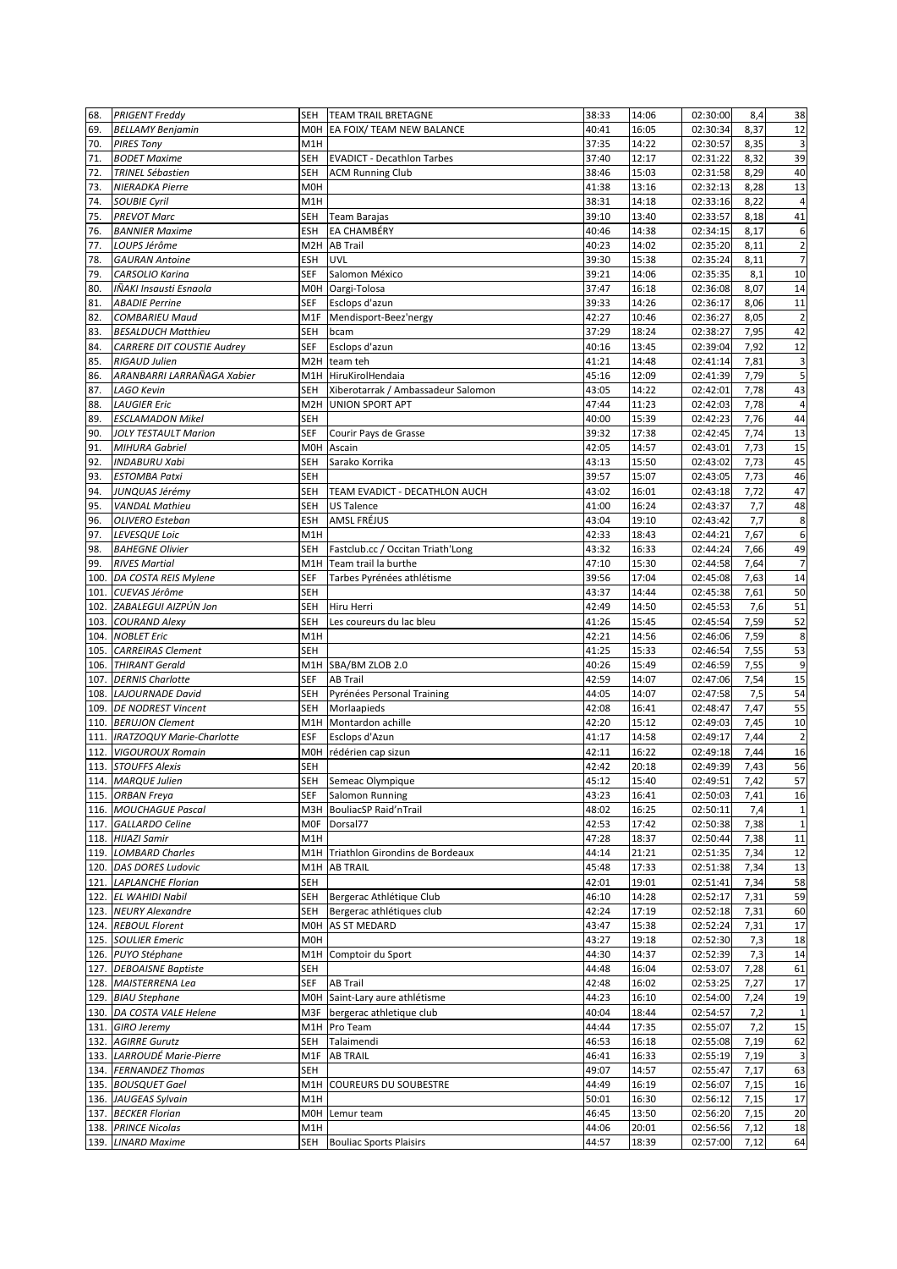| 68.  | <b>PRIGENT Freddy</b>                   |                 | SEH TEAM TRAIL BRETAGNE            | 38:33 | 14:06          | 02:30:00 | 8,4          | 38                       |
|------|-----------------------------------------|-----------------|------------------------------------|-------|----------------|----------|--------------|--------------------------|
| 69.  | <b>BELLAMY Benjamin</b>                 |                 | MOH EA FOIX/ TEAM NEW BALANCE      | 40:41 | 16:05          | 02:30:34 | 8,37         | 12                       |
| 70.  | <b>PIRES Tony</b>                       | M1H             |                                    | 37:35 | 14:22          | 02:30:57 | 8,35         | $\overline{\mathbf{3}}$  |
| 71.  | <b>BODET Maxime</b>                     | <b>SEH</b>      | <b>EVADICT - Decathlon Tarbes</b>  | 37:40 | 12:17          | 02:31:22 | 8,32         | 39                       |
| 72.  | <b>TRINEL Sébastien</b>                 | SEH             | <b>ACM Running Club</b>            | 38:46 | 15:03          | 02:31:58 | 8,29         | 40                       |
| 73.  | <b>NIERADKA Pierre</b>                  | M <sub>OH</sub> |                                    | 41:38 | 13:16          | 02:32:13 | 8,28         | 13                       |
| 74.  | <b>SOUBIE Cyril</b>                     | M1H             |                                    | 38:31 | 14:18          | 02:33:16 | 8,22         | 4                        |
| 75.  | <b>PREVOT Marc</b>                      | SEH             | Team Barajas                       | 39:10 | 13:40          | 02:33:57 | 8,18         | 41                       |
| 76.  | <b>BANNIER Maxime</b>                   | <b>ESH</b>      | EA CHAMBÉRY                        | 40:46 | 14:38          | 02:34:15 | 8,17         | $\boldsymbol{6}$         |
| 77.  | LOUPS Jérôme                            | M2H             | <b>AB Trail</b>                    | 40:23 | 14:02          | 02:35:20 | 8,11         | $\overline{2}$           |
| 78.  | <b>GAURAN Antoine</b>                   | ESH             | <b>UVL</b>                         | 39:30 | 15:38          | 02:35:24 | 8,11         | $\overline{7}$           |
| 79.  | CARSOLIO Karina                         | SEF             | Salomon México                     | 39:21 | 14:06          | 02:35:35 | 8,1          | 10                       |
| 80.  | IÑAKI Insausti Esnaola                  |                 | M0H Oargi-Tolosa                   | 37:47 | 16:18          | 02:36:08 | 8,07         | 14                       |
| 81.  | <b>ABADIE Perrine</b>                   | SEF             | Esclops d'azun                     | 39:33 | 14:26          | 02:36:17 | 8,06         | 11                       |
| 82.  | <b>COMBARIEU Maud</b>                   | M1F             | Mendisport-Beez'nergy              | 42:27 | 10:46          | 02:36:27 | 8,05         | $\overline{2}$           |
| 83.  | <b>BESALDUCH Matthieu</b>               | SEH             | bcam                               | 37:29 | 18:24          | 02:38:27 | 7,95         | 42                       |
| 84.  | CARRERE DIT COUSTIE Audrey              | SEF             | Esclops d'azun                     | 40:16 | 13:45          | 02:39:04 | 7,92         | 12                       |
| 85.  | RIGAUD Julien                           | M2H             | team teh                           | 41:21 | 14:48          | 02:41:14 | 7,81         | $\overline{\mathbf{3}}$  |
| 86.  | ARANBARRI LARRAÑAGA Xabier              | M1H             | HiruKirolHendaia                   | 45:16 | 12:09          | 02:41:39 | 7,79         | 5                        |
| 87.  | LAGO Kevin                              | SEH             | Xiberotarrak / Ambassadeur Salomon | 43:05 | 14:22          | 02:42:01 | 7,78         | 43                       |
| 88.  | <b>LAUGIER Eric</b>                     | M2H             | <b>UNION SPORT APT</b>             | 47:44 | 11:23          | 02:42:03 | 7,78         | $\sqrt{4}$               |
| 89.  | <b>ESCLAMADON Mikel</b>                 | SEH             |                                    | 40:00 | 15:39          | 02:42:23 | 7,76         | 44                       |
| 90.  | <b>JOLY TESTAULT Marion</b>             | SEF             | Courir Pays de Grasse              | 39:32 | 17:38          | 02:42:45 | 7,74         | 13                       |
| 91.  | <b>MIHURA Gabriel</b>                   | M0H             | Ascain                             | 42:05 | 14:57          | 02:43:01 | 7,73         | 15                       |
| 92.  | <b>INDABURU Xabi</b>                    | SEH             | Sarako Korrika                     | 43:13 | 15:50          | 02:43:02 | 7,73         | 45                       |
| 93.  | <b>ESTOMBA Patxi</b>                    | SEH             |                                    | 39:57 | 15:07          | 02:43:05 | 7,73         | 46                       |
| 94.  |                                         | SEH             | TEAM EVADICT - DECATHLON AUCH      | 43:02 | 16:01          | 02:43:18 | 7,72         | 47                       |
| 95.  | JUNQUAS Jérémy<br><b>VANDAL Mathieu</b> | SEH             | <b>US Talence</b>                  | 41:00 | 16:24          | 02:43:37 | 7,7          | 48                       |
| 96.  |                                         | ESH             | AMSL FRÉJUS                        | 43:04 | 19:10          | 02:43:42 | 7,7          | 8                        |
| 97.  | OLIVERO Esteban                         | M1H             |                                    | 42:33 |                |          |              | $\boldsymbol{6}$         |
|      | LEVESQUE Loic                           | SEH             |                                    | 43:32 | 18:43<br>16:33 | 02:44:21 | 7,67<br>7,66 | 49                       |
| 98.  | <b>BAHEGNE Olivier</b>                  |                 | Fastclub.cc / Occitan Triath'Long  |       |                | 02:44:24 |              |                          |
| 99.  | <b>RIVES Martial</b>                    | SEF             | M1H Team trail la burthe           | 47:10 | 15:30          | 02:44:58 | 7,64         | $\overline{7}$<br>$14\,$ |
| 100. | DA COSTA REIS Mylene                    |                 | Tarbes Pyrénées athlétisme         | 39:56 | 17:04          | 02:45:08 | 7,63         |                          |
| 101. | CUEVAS Jérôme                           | <b>SEH</b>      |                                    | 43:37 | 14:44          | 02:45:38 | 7,61         | 50                       |
| 102. | ZABALEGUI AIZPÚN Jon                    | SEH             | Hiru Herri                         | 42:49 | 14:50          | 02:45:53 | 7,6          | 51                       |
| 103. | <b>COURAND Alexy</b>                    | SEH             | Les coureurs du lac bleu           | 41:26 | 15:45          | 02:45:54 | 7,59         | 52                       |
| 104. | <b>NOBLET Eric</b>                      | M1H             |                                    | 42:21 | 14:56          | 02:46:06 | 7,59         | 8                        |
| 105. | <b>CARREIRAS Clement</b>                | SEH             |                                    | 41:25 | 15:33          | 02:46:54 | 7,55         | 53                       |
|      | 106. THIRANT Gerald                     |                 | M1H SBA/BM ZLOB 2.0                | 40:26 | 15:49          | 02:46:59 | 7,55         | 9                        |
| 107. | <b>DERNIS Charlotte</b>                 | SEF             | <b>AB Trail</b>                    | 42:59 | 14:07          | 02:47:06 | 7,54         | 15                       |
| 108. | <b>LAJOURNADE David</b>                 | <b>SEH</b>      | Pyrénées Personal Training         | 44:05 | 14:07          | 02:47:58 | 7,5          | 54                       |
| 109. | <b>DE NODREST Vincent</b>               | SEH             | Morlaapieds                        | 42:08 | 16:41          | 02:48:47 | 7,47         | 55                       |
|      | 110. BERUJON Clement                    | M1H             | Montardon achille                  | 42:20 | 15:12          | 02:49:03 | 7,45         | 10                       |
|      | 111. IRATZOQUY Marie-Charlotte          | <b>ESF</b>      | Esclops d'Azun                     | 41:17 | 14:58          | 02:49:17 | 7,44         | $\overline{2}$           |
|      | 112. VIGOUROUX Romain                   | M0H             | rédérien cap sizun                 | 42:11 | 16:22          | 02:49:18 | 7,44         | 16                       |
|      | 113. STOUFFS Alexis                     | <b>SEH</b>      |                                    | 42:42 | 20:18          | 02:49:39 | 7,43         | 56                       |
|      | 114. MARQUE Julien                      | SEH             | Semeac Olympique                   | 45:12 | 15:40          | 02:49:51 | 7,42         | 57                       |
|      | 115. ORBAN Freya                        | SEF             | Salomon Running                    | 43:23 | 16:41          | 02:50:03 | 7,41         | 16                       |
|      | 116. MOUCHAGUE Pascal                   |                 | M3H BouliacSP Raid'nTrail          | 48:02 | 16:25          | 02:50:11 | 7,4          | $\mathbf 1$              |
|      | 117. GALLARDO Celine                    | M <sub>OF</sub> | Dorsal77                           | 42:53 | 17:42          | 02:50:38 | 7,38         | $\mathbf 1$              |
|      | 118. HIJAZI Samir                       | M1H             |                                    | 47:28 | 18:37          | 02:50:44 | 7,38         | $11\,$                   |
|      | 119. LOMBARD Charles                    | M1H             | Triathlon Girondins de Bordeaux    | 44:14 | 21:21          | 02:51:35 | 7,34         | 12                       |
|      | 120. DAS DORES Ludovic                  | M1H I           | <b>AB TRAIL</b>                    | 45:48 | 17:33          | 02:51:38 | 7,34         | 13                       |
|      | 121. LAPLANCHE Florian                  | SEH             |                                    | 42:01 | 19:01          | 02:51:41 | 7,34         | 58                       |
|      | 122. EL WAHIDI Nabil                    | SEH             | Bergerac Athlétique Club           | 46:10 | 14:28          | 02:52:17 | 7,31         | 59                       |
|      | 123. NEURY Alexandre                    | SEH             | Bergerac athlétiques club          | 42:24 | 17:19          | 02:52:18 | 7,31         | 60                       |
|      | 124. REBOUL Florent                     |                 | MOH AS ST MEDARD                   | 43:47 | 15:38          | 02:52:24 | 7,31         | 17                       |
|      | 125. SOULIER Emeric                     | M0H             |                                    | 43:27 | 19:18          | 02:52:30 | 7,3          | 18                       |
|      | 126. PUYO Stéphane                      | M1H             | Comptoir du Sport                  | 44:30 | 14:37          | 02:52:39 | 7,3          | 14                       |
|      | 127. DEBOAISNE Baptiste                 | SEH             |                                    | 44:48 | 16:04          | 02:53:07 | 7,28         | 61                       |
|      | 128. MAISTERRENA Lea                    | SEF             | <b>AB Trail</b>                    | 42:48 | 16:02          | 02:53:25 | 7,27         | $17\,$                   |
|      | 129. BIAU Stephane                      |                 | MOH Saint-Lary aure athlétisme     | 44:23 | 16:10          | 02:54:00 | 7,24         | 19                       |
|      | 130. DA COSTA VALE Helene               |                 | M3F bergerac athletique club       | 40:04 | 18:44          | 02:54:57 | 7,2          | $\mathbf 1$              |
|      | 131. GIRO Jeremy                        |                 | M1H Pro Team                       | 44:44 | 17:35          | 02:55:07 | 7,2          | 15                       |
|      | 132. AGIRRE Gurutz                      | SEH             | Talaimendi                         | 46:53 | 16:18          | 02:55:08 | 7,19         | 62                       |
|      | 133. LARROUDÉ Marie-Pierre              |                 | M1F AB TRAIL                       | 46:41 | 16:33          | 02:55:19 | 7,19         | $\mathsf 3$              |
|      | 134. FERNANDEZ Thomas                   | SEH             |                                    | 49:07 | 14:57          | 02:55:47 | 7,17         | 63                       |
|      | 135. BOUSQUET Gael                      | M1H             | <b>COUREURS DU SOUBESTRE</b>       | 44:49 | 16:19          | 02:56:07 | 7,15         | 16                       |
|      | 136. JAUGEAS Sylvain                    | M1H             |                                    | 50:01 | 16:30          | 02:56:12 | 7,15         | 17                       |
|      | 137. BECKER Florian                     | M0H             | Lemur team                         | 46:45 | 13:50          | 02:56:20 | 7,15         | 20                       |
|      | 138. PRINCE Nicolas                     | M1H             |                                    | 44:06 | 20:01          | 02:56:56 | 7,12         | 18                       |
|      | 139. LINARD Maxime                      | SEH             | <b>Bouliac Sports Plaisirs</b>     | 44:57 | 18:39          | 02:57:00 | 7,12         | 64                       |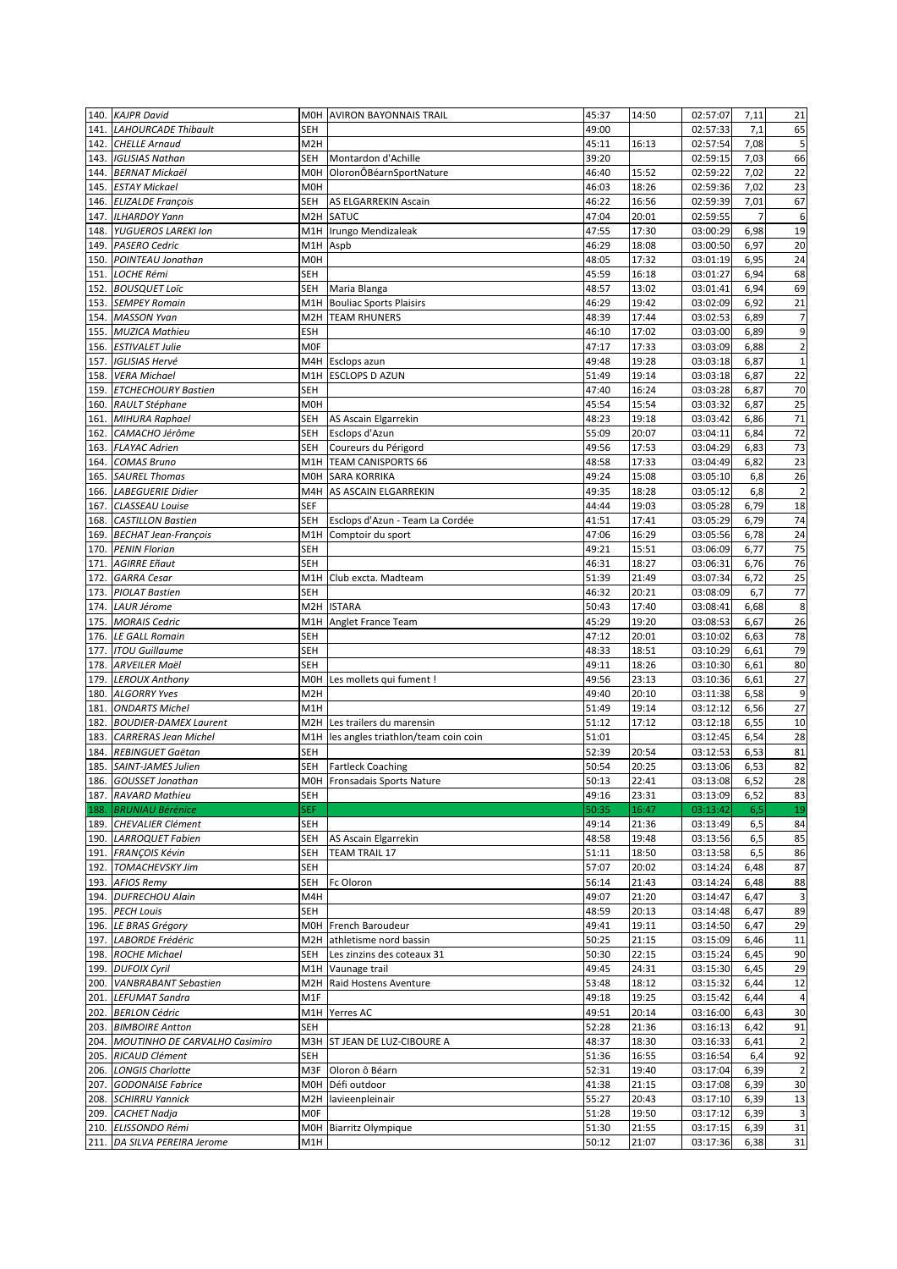|      | 140. KAJPR David                         |                  | MOH AVIRON BAYONNAIS TRAIL              | 45:37          | 14:50          | 02:57:07             | 7,11 | 21               |
|------|------------------------------------------|------------------|-----------------------------------------|----------------|----------------|----------------------|------|------------------|
| 141. | <b>LAHOURCADE Thibault</b>               | SEH              |                                         | 49:00          |                | 02:57:33             | 7,1  | 65               |
|      | 142. CHELLE Arnaud                       | M <sub>2</sub> H |                                         | 45:11          | 16:13          | 02:57:54             | 7,08 | 5                |
| 143. | <b>IGLISIAS Nathan</b>                   | SEH              | Montardon d'Achille                     | 39:20          |                | 02:59:15             | 7,03 | 66               |
| 144. | <b>BERNAT Mickaël</b>                    |                  | M0H OloronÔBéarnSportNature             | 46:40          | 15:52          | 02:59:22             | 7,02 | 22               |
| 145. | <b>ESTAY Mickael</b>                     | <b>MOH</b>       |                                         | 46:03          | 18:26          | 02:59:36             | 7,02 | 23               |
| 146. | <b>ELIZALDE François</b>                 | SEH              | AS ELGARREKIN Ascain                    | 46:22          | 16:56          | 02:59:39             | 7,01 | 67               |
| 147. | <b>ILHARDOY Yann</b>                     |                  | M2H SATUC                               | 47:04          | 20:01          | 02:59:55             | 7    | $\boldsymbol{6}$ |
| 148. | <b>YUGUEROS LAREKI Ion</b>               |                  | M1H Irungo Mendizaleak                  | 47:55          | 17:30          | 03:00:29             | 6,98 | 19               |
|      | 149. PASERO Cedric                       |                  | M1H Aspb                                | 46:29          | 18:08          | 03:00:50             | 6,97 | 20               |
|      | 150. POINTEAU Jonathan                   | M0H              |                                         | 48:05          | 17:32          | 03:01:19             | 6,95 | 24               |
| 151. | <b>LOCHE Rémi</b>                        | <b>SEH</b>       |                                         | 45:59          | 16:18          | 03:01:27             | 6,94 | 68               |
| 152. | <b>BOUSQUET Loïc</b>                     | SEH              | Maria Blanga                            | 48:57          | 13:02          | 03:01:41             | 6,94 | 69               |
| 153. | <b>SEMPEY Romain</b>                     |                  | M1H Bouliac Sports Plaisirs             | 46:29          | 19:42          | 03:02:09             | 6,92 | 21               |
|      | 154. MASSON Yvan                         | M2H              | <b>TEAM RHUNERS</b>                     | 48:39          | 17:44          | 03:02:53             | 6,89 | $\overline{7}$   |
|      | 155. MUZICA Mathieu                      | <b>ESH</b>       |                                         | 46:10          | 17:02          | 03:03:00             | 6,89 | 9                |
| 156. | <b>ESTIVALET Julie</b>                   | M <sub>OF</sub>  |                                         | 47:17          | 17:33          | 03:03:09             | 6,88 | $\mathbf 2$      |
| 157. | <b>IGLISIAS Hervé</b>                    |                  | M4H Esclops azun                        | 49:48          | 19:28          | 03:03:18             | 6,87 | $\mathbf 1$      |
|      | 158. VERA Michael                        | M1H              | <b>ESCLOPS D AZUN</b>                   | 51:49          | 19:14          | 03:03:18             | 6,87 | 22               |
|      | 159. ETCHECHOURY Bastien                 | SEH              |                                         | 47:40          | 16:24          | 03:03:28             | 6,87 | 70               |
|      | 160. RAULT Stéphane                      | M0H              |                                         | 45:54          | 15:54          | 03:03:32             | 6,87 | 25               |
| 161. | <b>MIHURA Raphael</b>                    | SEH              | AS Ascain Elgarrekin                    | 48:23          | 19:18          | 03:03:42             | 6,86 | 71               |
| 162. | CAMACHO Jérôme                           | SEH              | Esclops d'Azun                          | 55:09          | 20:07          | 03:04:11             | 6,84 | $72\,$           |
| 163. | <b>FLAYAC Adrien</b>                     | <b>SEH</b>       | Coureurs du Périgord                    | 49:56          | 17:53          | 03:04:29             | 6,83 | 73               |
|      | 164. COMAS Bruno                         |                  | M1H TEAM CANISPORTS 66                  | 48:58          | 17:33          | 03:04:49             | 6,82 | 23               |
|      | 165. SAUREL Thomas                       | M0H              | <b>SARA KORRIKA</b>                     | 49:24          | 15:08          | 03:05:10             | 6,8  | 26               |
| 166. | <b>LABEGUERIE Didier</b>                 | M4H              | AS ASCAIN ELGARREKIN                    | 49:35          | 18:28          | 03:05:12             | 6,8  | $\overline{2}$   |
|      | 167. CLASSEAU Louise                     | SEF              |                                         | 44:44          | 19:03          | 03:05:28             | 6,79 | 18               |
|      | 168. CASTILLON Bastien                   | SEH              | Esclops d'Azun - Team La Cordée         | 41:51          | 17:41          | 03:05:29             | 6,79 | 74               |
|      | 169. BECHAT Jean-François                | M1H              | Comptoir du sport                       | 47:06          | 16:29          | 03:05:56             | 6,78 | 24               |
|      | 170. PENIN Florian                       | SEH              |                                         | 49:21          | 15:51          | 03:06:09             | 6,77 | 75               |
| 171. | <b>AGIRRE Eñaut</b>                      | <b>SEH</b>       |                                         | 46:31          | 18:27          | 03:06:31             | 6,76 | 76               |
| 172. | <b>GARRA Cesar</b>                       | M1H              | Club excta. Madteam                     | 51:39          | 21:49          | 03:07:34             | 6,72 | 25               |
| 173. | <b>PIOLAT Bastien</b>                    | <b>SEH</b>       |                                         | 46:32          | 20:21          | 03:08:09             | 6,7  | 77               |
|      | 174. LAUR Jérome                         |                  | M2H ISTARA                              | 50:43          | 17:40          | 03:08:41             | 6,68 | 8                |
|      | 175. MORAIS Cedric                       | M1H              | Anglet France Team                      | 45:29          | 19:20          | 03:08:53             | 6,67 | 26               |
|      | 176. LE GALL Romain                      | <b>SEH</b>       |                                         | 47:12          | 20:01          | 03:10:02             | 6,63 | 78               |
| 177. | <b>ITOU Guillaume</b>                    | SEH              |                                         | 48:33          | 18:51          | 03:10:29             | 6,61 | 79               |
| 178. | <b>ARVEILER Maël</b>                     | <b>SEH</b>       |                                         | 49:11          | 18:26          | 03:10:30             | 6,61 | 80               |
|      |                                          | M0H              |                                         |                |                |                      |      |                  |
|      | 179. LEROUX Anthony<br>180. ALGORRY Yves | M <sub>2</sub> H | Les mollets qui fument !                | 49:56<br>49:40 | 23:13<br>20:10 | 03:10:36<br>03:11:38 | 6,61 | 27<br>$9\,$      |
|      |                                          |                  |                                         |                |                |                      | 6,58 |                  |
| 181. | <b>ONDARTS Michel</b>                    | M1H              | M2H Les trailers du marensin            | 51:49          | 19:14          | 03:12:12             | 6,56 | $27\,$<br>10     |
| 182. | <b>BOUDIER-DAMEX Laurent</b>             |                  |                                         | 51:12          | 17:12          | 03:12:18             | 6,55 |                  |
|      | 183. CARRERAS Jean Michel                |                  | M1H les angles triathlon/team coin coin | 51:01          |                | 03:12:45             | 6,54 | 28               |
|      | 184. REBINGUET Gaëtan                    | SEH              |                                         | 52:39          | 20:54          | 03:12:53             | 6,53 | 81               |
|      | 185. SAINT-JAMES Julien                  | SEH              | <b>Fartleck Coaching</b>                | 50:54          | 20:25<br>22:41 | 03:13:06             | 6,53 | 82               |
|      | 186. GOUSSET Jonathan                    |                  | MOH Fronsadais Sports Nature            | 50:13          |                | 03:13:08             | 6,52 | 28               |
|      | 187. RAVARD Mathieu                      | SEH              |                                         | 49:16          | 23:31          | 03:13:09             | 6,52 | 83               |
| 188. | <b>BRUNIAU Bérénice</b>                  | <b>SEF</b>       |                                         | 50:35          | 16:47          | 03:13:42             | 6,5  | 19               |
|      | 189. CHEVALIER Clément                   | SEH              |                                         | 49:14          | 21:36          | 03:13:49             | 6,5  | 84               |
|      | 190. LARROQUET Fabien                    | SEH              | AS Ascain Elgarrekin                    | 48:58          | 19:48          | 03:13:56             | 6, 5 | 85               |
| 191. | <b>FRANÇOIS Kévin</b>                    | SEH              | TEAM TRAIL 17                           | 51:11          | 18:50          | 03:13:58             | 6, 5 | 86               |
|      | 192. TOMACHEVSKY Jim                     | SEH              |                                         | 57:07          | 20:02          | 03:14:24             | 6,48 | 87               |
|      | 193. AFIOS Remy                          | SEH              | Fc Oloron                               | 56:14          | 21:43          | 03:14:24             | 6,48 | 88               |
|      | 194. DUFRECHOU Alain                     | M4H              |                                         | 49:07          | 21:20          | 03:14:47             | 6,47 | 3                |
|      | 195. PECH Louis                          | SEH              |                                         | 48:59          | 20:13          | 03:14:48             | 6,47 | 89               |
|      | 196. LE BRAS Grégory                     | M0H              | French Baroudeur                        | 49:41          | 19:11          | 03:14:50             | 6,47 | 29               |
|      | 197. LABORDE Frédéric                    |                  | M2H athletisme nord bassin              | 50:25          | 21:15          | 03:15:09             | 6,46 | 11               |
|      | 198. ROCHE Michael                       | SEH              | Les zinzins des coteaux 31              | 50:30          | 22:15          | 03:15:24             | 6,45 | 90               |
|      | 199. DUFOIX Cyril                        |                  | M1H Vaunage trail                       | 49:45          | 24:31          | 03:15:30             | 6,45 | 29               |
|      | 200. VANBRABANT Sebastien                | M <sub>2</sub> H | Raid Hostens Aventure                   | 53:48          | 18:12          | 03:15:32             | 6,44 | 12               |
| 201. | <b>LEFUMAT Sandra</b>                    | M1F              |                                         | 49:18          | 19:25          | 03:15:42             | 6,44 | 4                |
|      | 202. BERLON Cédric                       |                  | M1H Yerres AC                           | 49:51          | 20:14          | 03:16:00             | 6,43 | 30               |
|      | 203. BIMBOIRE Antton                     | <b>SEH</b>       |                                         | 52:28          | 21:36          | 03:16:13             | 6,42 | 91               |
|      | 204. MOUTINHO DE CARVALHO Casimiro       | M3H              | ST JEAN DE LUZ-CIBOURE A                | 48:37          | 18:30          | 03:16:33             | 6,41 | $\overline{2}$   |
|      | 205. RICAUD Clément                      | SEH              |                                         | 51:36          | 16:55          | 03:16:54             | 6,4  | 92               |
| 206. | <b>LONGIS Charlotte</b>                  | M3F              | Oloron ô Béarn                          | 52:31          | 19:40          | 03:17:04             | 6,39 | $\overline{2}$   |
|      | 207. GODONAISE Fabrice                   | MOH              | Défi outdoor                            | 41:38          | 21:15          | 03:17:08             | 6,39 | 30               |
|      | 208. SCHIRRU Yannick                     |                  | M2H lavieenpleinair                     | 55:27          | 20:43          | 03:17:10             | 6,39 | 13               |
|      | 209. CACHET Nadja                        | MOF              |                                         | 51:28          | 19:50          | 03:17:12             | 6,39 | 3                |
|      | 210. ELISSONDO Rémi                      | MOH              | Biarritz Olympique                      | 51:30          | 21:55          | 03:17:15             | 6,39 | 31               |
|      | 211. DA SILVA PEREIRA Jerome             | M1H              |                                         | 50:12          | 21:07          | 03:17:36             | 6,38 | 31               |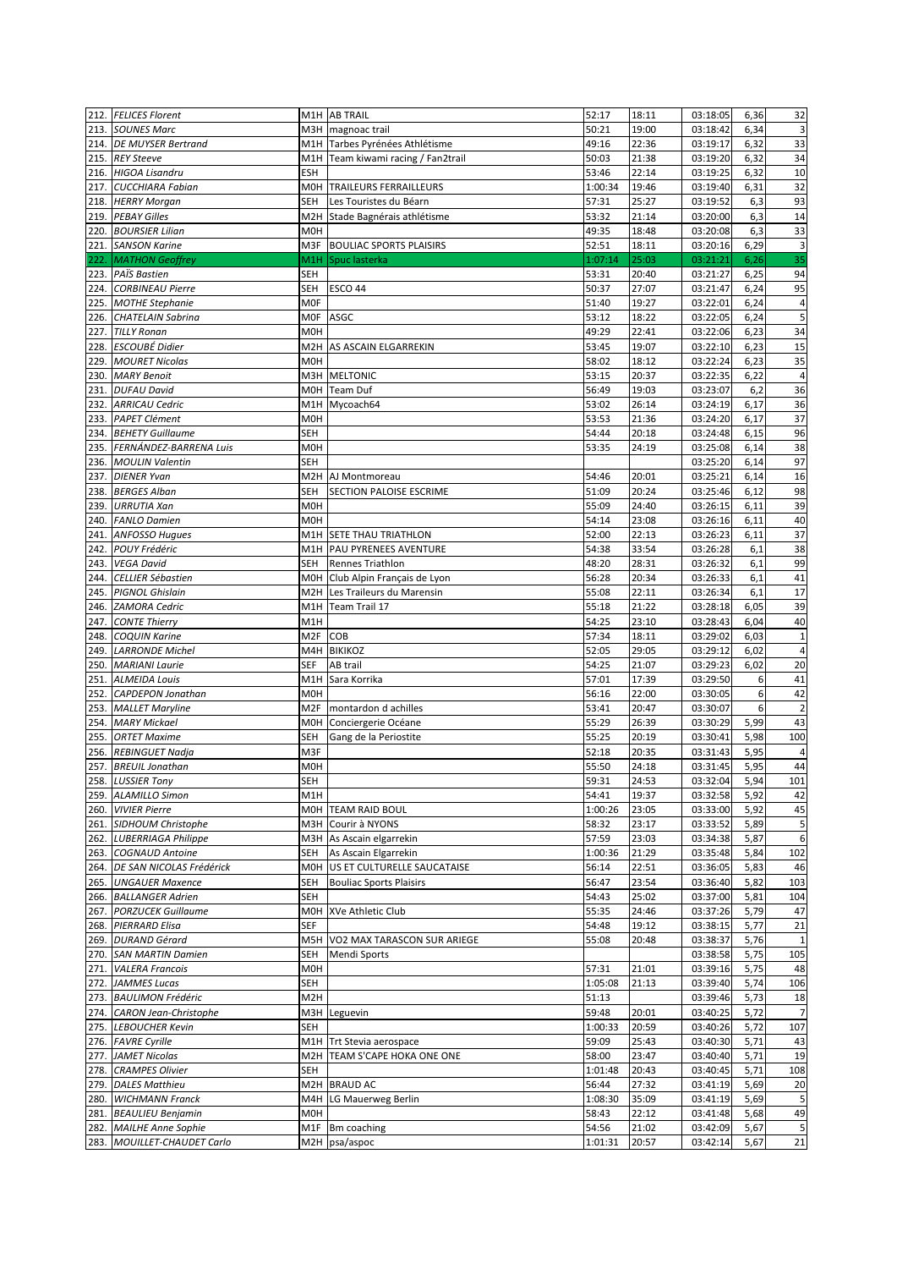|      | 212. FELICES Florent          |                  | M1H AB TRAIL                       | 52:17   | 18:11 | 03:18:05 | 6,36 | 32             |
|------|-------------------------------|------------------|------------------------------------|---------|-------|----------|------|----------------|
|      | 213. SOUNES Marc              |                  | M3H magnoac trail                  | 50:21   | 19:00 | 03:18:42 | 6,34 | $\mathsf 3$    |
|      | 214. DE MUYSER Bertrand       |                  | M1H Tarbes Pyrénées Athlétisme     | 49:16   | 22:36 | 03:19:17 | 6,32 | 33             |
|      | 215. REY Steeve               |                  | M1H Team kiwami racing / Fan2trail | 50:03   | 21:38 | 03:19:20 | 6,32 | 34             |
|      | 216. HIGOA Lisandru           | <b>ESH</b>       |                                    | 53:46   | 22:14 | 03:19:25 | 6,32 | 10             |
|      | 217. CUCCHIARA Fabian         |                  | MOH TRAILEURS FERRAILLEURS         | 1:00:34 | 19:46 | 03:19:40 | 6,31 | 32             |
|      | 218. HERRY Morgan             | SEH              | Les Touristes du Béarn             | 57:31   | 25:27 | 03:19:52 | 6,3  | 93             |
|      | 219. PEBAY Gilles             |                  | M2H Stade Bagnérais athlétisme     | 53:32   | 21:14 | 03:20:00 | 6,3  | $14\,$         |
|      |                               | M <sub>O</sub> H |                                    |         |       |          |      | 33             |
|      | 220. BOURSIER Lilian          | M3F              |                                    | 49:35   | 18:48 | 03:20:08 | 6,3  |                |
| 221. | <b>SANSON Karine</b>          |                  | <b>BOULIAC SPORTS PLAISIRS</b>     | 52:51   | 18:11 | 03:20:16 | 6,29 | $\mathbf{3}$   |
| 222. | <b>MATHON Geoffrey</b>        | M1H              | Spuc lasterka                      | 1:07:14 | 25:03 | 03:21:21 | 6,26 | 35             |
| 223. | <b>PAÏS Bastien</b>           | <b>SEH</b>       |                                    | 53:31   | 20:40 | 03:21:27 | 6,25 | 94             |
|      | 224. CORBINEAU Pierre         | SEH              | <b>ESCO 44</b>                     | 50:37   | 27:07 | 03:21:47 | 6,24 | 95             |
|      | 225. MOTHE Stephanie          | <b>MOF</b>       |                                    | 51:40   | 19:27 | 03:22:01 | 6,24 | $\sqrt{4}$     |
| 226. | <b>CHATELAIN Sabrina</b>      |                  | MOF ASGC                           | 53:12   | 18:22 | 03:22:05 | 6,24 | 5              |
| 227. | <b>TILLY Ronan</b>            | M0H              |                                    | 49:29   | 22:41 | 03:22:06 | 6,23 | 34             |
| 228. | <b>ESCOUBÉ Didier</b>         | M <sub>2</sub> H | AS ASCAIN ELGARREKIN               | 53:45   | 19:07 | 03:22:10 | 6,23 | 15             |
| 229. | <b>MOURET Nicolas</b>         | M0H              |                                    | 58:02   | 18:12 | 03:22:24 | 6,23 | 35             |
|      | 230. MARY Benoit              |                  | M3H MELTONIC                       | 53:15   | 20:37 | 03:22:35 | 6,22 | $\sqrt{4}$     |
| 231. | <b>DUFAU David</b>            |                  | MOH Team Duf                       | 56:49   | 19:03 | 03:23:07 | 6,2  | 36             |
| 232. | <b>ARRICAU Cedric</b>         |                  | M1H Mycoach64                      | 53:02   | 26:14 | 03:24:19 | 6,17 | 36             |
| 233. | <b>PAPET Clément</b>          | <b>MOH</b>       |                                    | 53:53   | 21:36 | 03:24:20 | 6,17 | 37             |
|      | 234. BEHETY Guillaume         | <b>SEH</b>       |                                    | 54:44   | 20:18 | 03:24:48 | 6,15 | 96             |
|      | 235. FERNÁNDEZ-BARRENA Luis   | M <sub>O</sub> H |                                    | 53:35   | 24:19 | 03:25:08 | 6,14 | 38             |
| 236. | <b>MOULIN Valentin</b>        | <b>SEH</b>       |                                    |         |       | 03:25:20 | 6,14 | 97             |
| 237. | <b>DIENER Yvan</b>            |                  | M2H AJ Montmoreau                  | 54:46   | 20:01 | 03:25:21 | 6,14 | 16             |
| 238. | <b>BERGES Alban</b>           | <b>SEH</b>       | SECTION PALOISE ESCRIME            | 51:09   | 20:24 | 03:25:46 | 6,12 | 98             |
|      | 239. URRUTIA Xan              | M0H              |                                    | 55:09   | 24:40 | 03:26:15 | 6,11 | 39             |
|      | 240. FANLO Damien             | M <sub>O</sub> H |                                    | 54:14   | 23:08 | 03:26:16 | 6,11 | 40             |
| 241. | <b>ANFOSSO Hugues</b>         |                  | M1H SETE THAU TRIATHLON            | 52:00   | 22:13 | 03:26:23 | 6,11 | 37             |
|      | <b>POUY Frédéric</b>          |                  | M1H   PAU PYRENEES AVENTURE        | 54:38   | 33:54 |          | 6,1  | 38             |
| 242. |                               |                  |                                    |         |       | 03:26:28 |      |                |
| 243. | <b>VEGA David</b>             | <b>SEH</b>       | <b>Rennes Triathlon</b>            | 48:20   | 28:31 | 03:26:32 | 6,1  | 99             |
|      | 244. CELLIER Sébastien        |                  | MOH Club Alpin Français de Lyon    | 56:28   | 20:34 | 03:26:33 | 6,1  | 41             |
|      | 245. PIGNOL Ghislain          |                  | M2H Les Traileurs du Marensin      | 55:08   | 22:11 | 03:26:34 | 6,1  | $17\,$         |
| 246. | <b>ZAMORA Cedric</b>          | M1H              | Team Trail 17                      | 55:18   | 21:22 | 03:28:18 | 6,05 | 39             |
| 247. | <b>CONTE Thierry</b>          | M1H              |                                    | 54:25   | 23:10 | 03:28:43 | 6,04 | 40             |
| 248. | <b>COQUIN Karine</b>          | M <sub>2F</sub>  | COB                                | 57:34   | 18:11 | 03:29:02 | 6,03 | $\mathbf 1$    |
|      | 249. LARRONDE Michel          | M4H              | <b>BIKIKOZ</b>                     | 52:05   | 29:05 | 03:29:12 | 6,02 | $\sqrt{4}$     |
|      | 250. MARIANI Laurie           | <b>SEF</b>       | AB trail                           | 54:25   | 21:07 | 03:29:23 | 6,02 | 20             |
| 251. | <b>ALMEIDA Louis</b>          | M1H              | Sara Korrika                       | 57:01   | 17:39 | 03:29:50 | 6    | 41             |
|      | 252. CAPDEPON Jonathan        | M0H              |                                    | 56:16   | 22:00 | 03:30:05 | 6    | 42             |
| 253. | <b>MALLET Maryline</b>        | M <sub>2F</sub>  | montardon d achilles               | 53:41   | 20:47 | 03:30:07 | 6    | $\overline{2}$ |
|      | 254. MARY Mickael             |                  | MOH Conciergerie Océane            | 55:29   | 26:39 | 03:30:29 | 5,99 | 43             |
|      | 255. ORTET Maxime             | <b>SEH</b>       | Gang de la Periostite              | 55:25   | 20:19 | 03:30:41 | 5,98 | 100            |
| 256. | <b>REBINGUET Nadja</b>        | M3F              |                                    | 52:18   | 20:35 | 03:31:43 | 5,95 | 4              |
| 257. | <b>BREUIL Jonathan</b>        | M <sub>OH</sub>  |                                    | 55:50   | 24:18 | 03:31:45 | 5,95 | 44             |
| 258. | <b>LUSSIER Tony</b>           | <b>SEH</b>       |                                    | 59:31   | 24:53 | 03:32:04 | 5,94 | 101            |
|      | 259. ALAMILLO Simon           | M1H              |                                    | 54:41   | 19:37 | 03:32:58 | 5,92 | 42             |
|      | 260. VIVIER Pierre            |                  | MOH TEAM RAID BOUL                 | 1:00:26 | 23:05 | 03:33:00 | 5,92 | 45             |
|      | 261. SIDHOUM Christophe       | M3H              | Courir à NYONS                     | 58:32   | 23:17 | 03:33:52 | 5,89 | $\sqrt{5}$     |
|      | 262. LUBERRIAGA Philippe      |                  | M3H As Ascain elgarrekin           | 57:59   | 23:03 | 03:34:38 | 5,87 | 6              |
| 263. | <b>COGNAUD Antoine</b>        | SEH              | As Ascain Elgarrekin               | 1:00:36 | 21:29 | 03:35:48 | 5,84 | 102            |
|      | 264. DE SAN NICOLAS Frédérick |                  | MOH US ET CULTURELLE SAUCATAISE    | 56:14   | 22:51 | 03:36:05 | 5,83 | 46             |
|      | 265. UNGAUER Maxence          | SEH              | <b>Bouliac Sports Plaisirs</b>     | 56:47   | 23:54 | 03:36:40 | 5,82 | 103            |
|      | 266. BALLANGER Adrien         | SEH              |                                    | 54:43   | 25:02 | 03:37:00 |      | 104            |
|      |                               |                  |                                    |         |       |          | 5,81 |                |
| 267. | <b>PORZUCEK Guillaume</b>     |                  | M0H XVe Athletic Club              | 55:35   | 24:46 | 03:37:26 | 5,79 | 47             |
|      | 268. PIERRARD Elisa           | <b>SEF</b>       |                                    | 54:48   | 19:12 | 03:38:15 | 5,77 | 21             |
|      | 269. DURAND Gérard            |                  | M5H VO2 MAX TARASCON SUR ARIEGE    | 55:08   | 20:48 | 03:38:37 | 5,76 | $\mathbf{1}$   |
|      | 270. SAN MARTIN Damien        | SEH              | Mendi Sports                       |         |       | 03:38:58 | 5,75 | 105            |
| 271. | <b>VALERA Francois</b>        | M <sub>O</sub> H |                                    | 57:31   | 21:01 | 03:39:16 | 5,75 | 48             |
|      | 272. JAMMES Lucas             | SEH              |                                    | 1:05:08 | 21:13 | 03:39:40 | 5,74 | 106            |
| 273. | <b>BAULIMON Frédéric</b>      | M <sub>2</sub> H |                                    | 51:13   |       | 03:39:46 | 5,73 | 18             |
|      | 274. CARON Jean-Christophe    |                  | M3H Leguevin                       | 59:48   | 20:01 | 03:40:25 | 5,72 | $\overline{7}$ |
|      | 275. LEBOUCHER Kevin          | SEH              |                                    | 1:00:33 | 20:59 | 03:40:26 | 5,72 | 107            |
|      | 276. FAVRE Cyrille            |                  | M1H Trt Stevia aerospace           | 59:09   | 25:43 | 03:40:30 | 5,71 | 43             |
| 277. | <b>JAMET Nicolas</b>          |                  | M2H TEAM S'CAPE HOKA ONE ONE       | 58:00   | 23:47 | 03:40:40 | 5,71 | 19             |
| 278. | <b>CRAMPES Olivier</b>        | <b>SEH</b>       |                                    | 1:01:48 | 20:43 | 03:40:45 | 5,71 | 108            |
|      | 279. DALES Matthieu           |                  | M2H BRAUD AC                       | 56:44   | 27:32 | 03:41:19 | 5,69 | 20             |
|      | 280. WICHMANN Franck          |                  | M4H LG Mauerweg Berlin             | 1:08:30 | 35:09 | 03:41:19 | 5,69 | 5              |
|      | 281. BEAULIEU Benjamin        | M <sub>OH</sub>  |                                    | 58:43   | 22:12 | 03:41:48 | 5,68 | 49             |
|      | 282. MAILHE Anne Sophie       |                  | M1F Bm coaching                    | 54:56   | 21:02 | 03:42:09 | 5,67 | 5              |
|      | 283. MOUILLET-CHAUDET Carlo   |                  | M2H psa/aspoc                      | 1:01:31 | 20:57 | 03:42:14 | 5,67 | 21             |
|      |                               |                  |                                    |         |       |          |      |                |